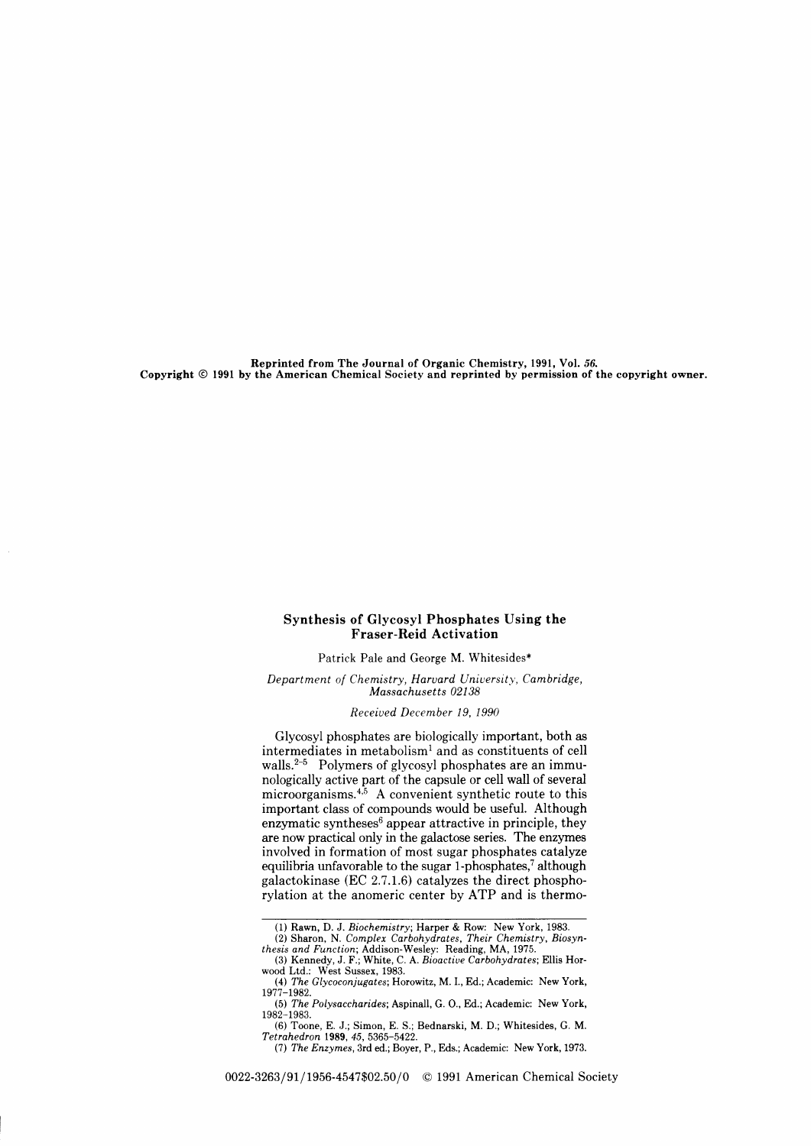Reprinted from The Journal of Organic Chemistry, 1991, Yol. 56. Copyright @ 1991 by the American Chemical Society and reprinted by permission of the copyright owner.

## Synthesis of Glycosyl Phosphates Using the Fraser-Reid Activation

Patrick Pale and George M. Whitesides\*

Department of Chemistry, Harvard University, Cambridge, Massachusetts 02138

Receiued December 19, 1990

Glycosyl phosphates are biologically important, both as intermediates in metabolism<sup>1</sup> and as constituents of cell walls.<sup>2-5</sup> Polymers of glycosyl phosphates are an immunologically active part of the capsule or cell wall of several microorganisms. $4.5$  A convenient synthetic route to this important class of compounds would be useful. Although enzymatic syntheses<sup>6</sup> appear attractive in principle, they are now practical only in the galactose series. The enzymes involved in formation of most sugar phosphates catalyze equilibria unfavorable to the sugar 1-phosphates,7 although galactokinase (EC 2.7.1.6) catalyzes the direct phosphorylation at the anomeric center by ATP and is thermo-

<sup>(1)</sup> Rawn, D. J. Biochemistry; Harper & Row: New York, 1983.<br>
(2) Sharon, N. Complex Carbohydrates, Their Chemistry, Biosynthesis and Function; Addison-Wesley: Reading, MA, 1975.<br>
(3) Kennedy, J. F.; White, C. A. Bioactive

wood Ltd.: West Sussex, 1983.<br>— (4) *The Glycoconjugates*; Horowitz, M. I., Ed.; Academic: New York,<br>1977–1982.

<sup>(5)</sup> The Polysaccharides;Aspinall, G. O., Ed.; Academic: New York, 1982-1983.

<sup>(6)</sup> Toone, E. J.; Simon, E.S.; Bednarski, M.D.; Whitesides, G. M. Tetrahedron 1989. 45. 5365-5422.

<sup>(7)</sup> The Enzymes, 3rd ed.; Boyer, P., Eds.; Academic: New York, 1973.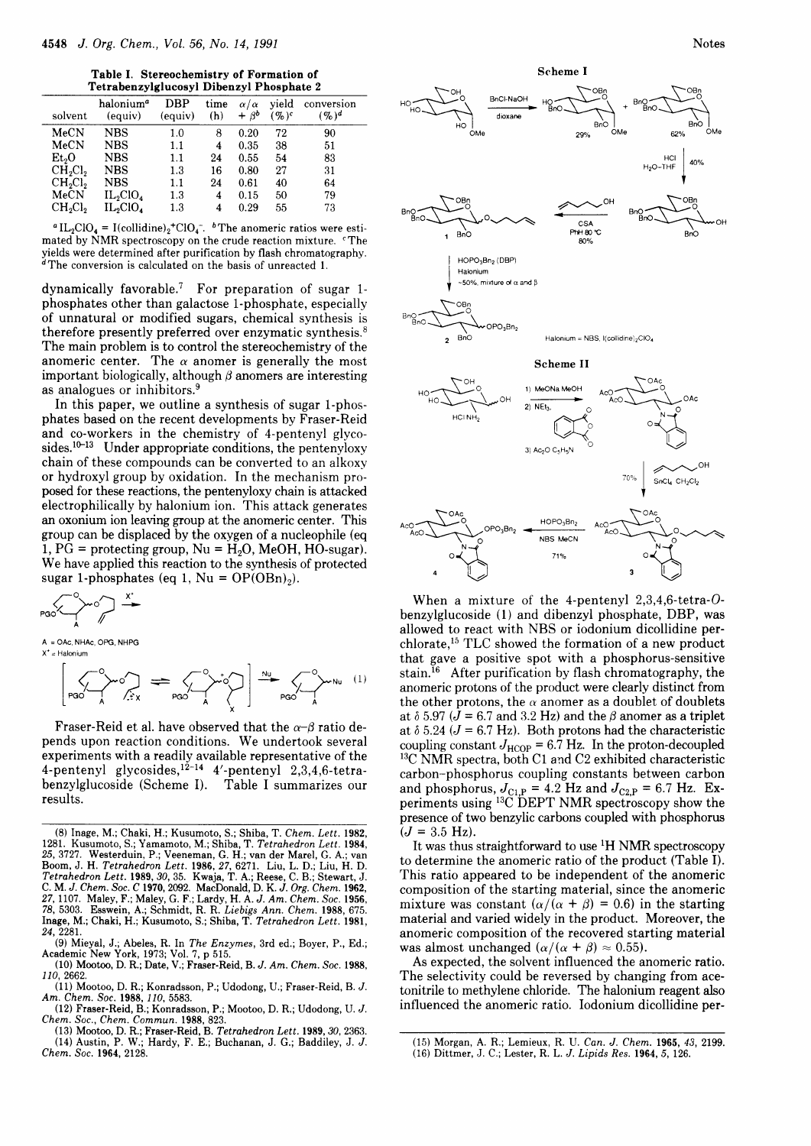Table I. Stereochemistry of Formation of Tetrabenzylglucosyl Dibenzyl Phosphate 2

| solvent                         | halonium <sup>a</sup><br>(equiv) | DBP<br>(equiv) | time<br>(h) | $\alpha/\alpha$<br>$+ \beta^b$ | vield<br>$(9)$ <sup>c</sup> | conversion<br>$(96)^d$ |
|---------------------------------|----------------------------------|----------------|-------------|--------------------------------|-----------------------------|------------------------|
| MeCN                            | <b>NBS</b>                       | 1.0            | 8           | 0.20                           | 72                          | 90                     |
| MeCN                            | <b>NBS</b>                       | 1.1            | 4           | 0.35                           | 38                          | 51                     |
| Et,O                            | NBS                              | 1.1            | 24          | 0.55                           | 54                          | 83                     |
| CH <sub>2</sub> Cl <sub>2</sub> | <b>NBS</b>                       | 1.3            | 16          | 0.80                           | 27                          | 31                     |
| $CH_2Cl_2$                      | NBS                              | 1.1            | 24          | 0.61                           | 40                          | 64                     |
| MeCN                            | $IL_2ClO_4$                      | $1.3\,$        | 4           | 0.15                           | 50                          | 79                     |
| CH <sub>2</sub> Cl <sub>2</sub> | $IL_2ClO_4$                      | $1.3\,$        | 4           | 0.29                           | 55                          | 73                     |
|                                 |                                  |                |             |                                |                             |                        |

<sup>*a*</sup> IL<sub>2</sub>ClO<sub>4</sub> = I(collidine)<sub>2</sub><sup>+</sup>ClO<sub>4</sub><sup>-</sup>. <sup>*b*</sup> The anomeric ratios were estimated by NMR spectroscopy on the crude reaction mixture. The yields were determined after purification by flash chromatography.<br><sup>d</sup>The conversion is calculated on the basis of unreacted 1.

dynamically favorable.<sup>7</sup> For preparation of sugar 1phosphates other than galactose 1-phosphate, especially of unnatural or modified sugars, chemical synthesis is therefore presently preferred over enzymatic synthesis.<sup>8</sup> The main problem is to control the stereochemistry of the anomeric center. The  $\alpha$  anomer is generally the most important biologically, although  $\beta$  anomers are interesting as analogues or inhibitors.<sup>9</sup>

In this paper, we outline a synthesis of sugar 1-phosphates based on the recent developments by Fraser-Reid and co-workers in the chemistry of 4-pentenyl glycosides.<sup>10-13</sup> Under appropriate conditions, the pentenyloxy chain of these compounds can be converted to an alkoxy or hydroxyl group by oxidation. In the mechanism proposed for these reactions, the pentenyloxy chain is attacked electrophilically by halonium ion. This attack generates an oxonium ion leaving group at the anomeric center. This group can be displaced by the oxygen of a nucleophile (eq 1, PG = protecting group, Nu =  $H_2O$ , MeOH, HO-sugar). We have applied this reaction to the synthesis of protected sugar 1-phosphates (eq 1, Nu =  $OP(OBn)$ ).

$$
\begin{array}{ccc}\n& & \searrow & \\
& & \searrow & \\
& & \searrow & \\
& & \searrow & \\
& & \searrow & \\
& & & \searrow & \\
& & & \searrow & \\
& & & & \searrow & \\
& & & & \searrow & \\
& & & & & \searrow & \\
& & & & & \searrow & \\
& & & & & & \searrow & \\
& & & & & & \searrow & \\
& & & & & & & \searrow & \\
& & & & & & & \searrow & \\
& & & & & & & & \searrow & \\
& & & & & & & & \searrow & \\
& & & & & & & & \searrow & \\
& & & & & & & & \searrow & \\
& & & & & & & & \searrow & \\
& & & & & & & & & \searrow & \\
& & & & & & & & & \searrow & \\
& & & & & & & & & \searrow & \\
& & & & & & & & & & \searrow & \\
& & & & & & & & & & \searrow & \\
& & & & & & & & & & \searrow & \\
& & & & & & & & & & & \searrow & \\
& & & & & & & & & & & \searrow & \\
& & & & & & & & & & & \searrow & \\
& & & & & & & & & & & \searrow & \\
& & & & & & & & & & & & \searrow & \\
& & & & & & & & & & & & \searrow & \\
& & & & & & & & & & & & \searrow & \\
& & & & & & & & & & & & \searrow & \\
& & & & & & & & & & & & \searrow & \\
& & & & & & & & & & & & \searrow & \\
& & & & & & & & & & & & \searrow & \\
& & & & & & & & & & & & \searrow & \\
& & & & & & & & & & & & \searrow & \\
& & & & & & & & & & & & \searrow & \\
& & & & & & & & & & & & \searrow & \\
& & & & & & & & & & & & \searrow & \\
& & & & & & & & & & & & \searrow & \\
& & & & & & & & & & & & \searrow & \\
& & & & & & & & & & & & \searrow & \\
& & & & & & & & & & & & \searrow & \\
& & & & & & & & & & & & \searrow & \\
& & & & & & & & & & & & \searrow & \\
& & & & & & & & & & & & \searrow & \\
& & & & & & & & & & & & \searrow & \\
& & & & & & & & & & & & \searrow & \\
& & & & & & & & & & & & \searrow & \\
& & & & & & & & & & & & \searrow & \\
& & & & & & & & & &
$$

A = OAc, NHAc, OPG, NHPG  $X^* = Halonim$ 



Fraser-Reid et al. have observed that the  $\alpha-\beta$  ratio depends upon reaction conditions. We undertook several experiments with a readily available representative of the 4-pentenyl glycosides,  $12-14$  4'-pentenyl 2,3,4,6-tetra-<br>benzylglucoside (Scheme I). Table I summarizes our results.

(13) Mootoo, D. R.; Fraser-Reid, B. Tetrahedron Lett. 1989, 30, 2363. (14) Austin, P. W.; Hardy, F. E.; Buchanan, J. G.; Baddiley, J. J. Chem. Soc. 1964, 2128.





When a mixture of the 4-pentenyl  $2,3,4,6$ -tetra-Obenzylglucoside (1) and dibenzyl phosphate, DBP, was allowed to react with NBS or iodonium dicollidine perchlorate,<sup>15</sup> TLC showed the formation of a new product that gave a positive spot with a phosphorus-sensitive stain.<sup>16</sup> After purification by flash chromatography, the anomeric protons of the product were clearly distinct from the other protons, the  $\alpha$  anomer as a doublet of doublets at  $\delta$  5.97 ( $J = 6.7$  and 3.2 Hz) and the  $\beta$  anomer as a triplet at  $\delta$  5.24 ( $J = 6.7$  Hz). Both protons had the characteristic coupling constant  $J_{\text{HCOP}} = 6.7 \text{ Hz}$ . In the proton-decoupled <sup>13</sup>C NMR spectra, both C1 and C2 exhibited characteristic carbon-phosphorus coupling constants between carbon and phosphorus,  $J_{C1,P} = 4.2$  Hz and  $J_{C2,P} = 6.7$  Hz. Experiments using <sup>13</sup>C DEPT NMR spectroscopy show the presence of two benzylic carbons coupled with phosphorus  $(J = 3.5 \text{ Hz}).$ 

It was thus straightforward to use <sup>1</sup>H NMR spectroscopy to determine the anomeric ratio of the product (Table I). This ratio appeared to be independent of the anomeric composition of the starting material, since the anomeric mixture was constant  $(\alpha/(\alpha + \beta) = 0.6)$  in the starting material and varied widely in the product. Moreover, the anomeric composition of the recovered starting material was almost unchanged  $(\alpha/(\alpha + \beta) \approx 0.55)$ .

As expected, the solvent influenced the anomeric ratio. The selectivity could be reversed by changing from acetonitrile to methylene chloride. The halonium reagent also influenced the anomeric ratio. Iodonium dicollidine per-

<sup>(8)</sup> Inage, M.; Chaki, H.; Kusumoto, S.; Shiba, T. Chem. Lett. 1982, 1281. Kusumoto, S.; Yamamoto, M.; Shiba, T. Tetrahedron Lett. 1984.<br>25, 3727. Westerduin, P.; Veeneman, G. H.; van der Marel, G. A.; van Boom, J. H. Tetrahedron Lett. 1986, 27, 6271. Liu, L. D.; Liu, H. D.<br>Tetrahedron Lett. 1989, 30, 35. Kwaja, T. A.; Reese, C. B.; Stewart, J. C. M. J. Chem. Soc. C 1970, 2092. MacDonald, D. K. J. Org. Chem. 1962, 27, 1107. Maley, F.; Maley, G. F.; Lardy, H. A. J. Am. Chem. Soc. 1956, 78, 5303. Esswein, A.; Schmidt, R. R. Liebigs Ann. Chem. Soc. 1956, 78, 5303. Esswein, A.; Schmidt, R. R. Liebigs Ann. Chem. 1988, 675. Inage, M.; Cha 24, 2281

<sup>(9)</sup> Mieyal, J.; Abeles, R. In The Enzymes, 3rd ed.; Boyer, P., Ed.; Academic New York, 1973; Vol. 7, p 515.<br>(10) Mootoo, D. R.; Date, V.; Fraser-Reid, B. J. Am. Chem. Soc. 1988,

<sup>110, 2662</sup> 

<sup>(11)</sup> Mootoo, D. R.; Konradsson, P.; Udodong, U.; Fraser-Reid, B. J. Am. Chem. Soc. 1988, 110, 5583.

<sup>(12)</sup> Fraser-Reid, B.; Konradsson, P.; Mootoo, D. R.; Udodong, U. J. Chem. Soc., Chem. Commun. 1988, 823.

<sup>(15)</sup> Morgan, A. R.; Lemieux, R. U. Can. J. Chem. 1965, 43, 2199. (16) Dittmer, J. C.; Lester, R. L. J. Lipids Res. 1964, 5, 126.